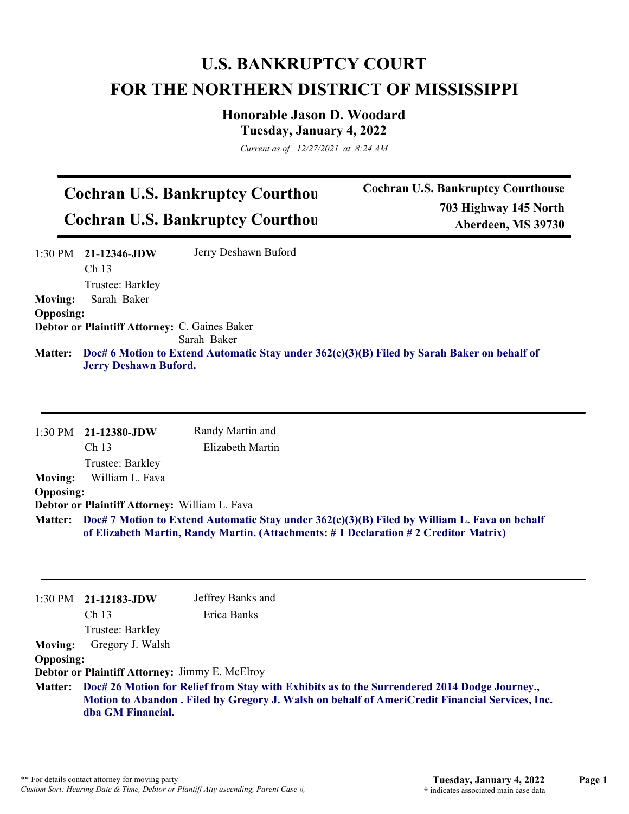## **U.S. BANKRUPTCY COURT FOR THE NORTHERN DISTRICT OF MISSISSIPPI**

**Honorable Jason D. Woodard Tuesday, January 4, 2022**

*Current as of 12/27/2021 at 8:24 AM*

## **Cochran U.S. Bankruptcy Courthou Cochran U.S. Bankruptcy Courthou**

**Cochran U.S. Bankruptcy Courthouse 703 Highway 145 North Aberdeen, MS 39730**

|                  | $1:30 \text{ PM}$ 21-12346-JDW                       | Jerry Deshawn Buford                                                                                |
|------------------|------------------------------------------------------|-----------------------------------------------------------------------------------------------------|
|                  | Ch <sub>13</sub>                                     |                                                                                                     |
|                  | Trustee: Barkley                                     |                                                                                                     |
| <b>Moving:</b>   | Sarah Baker                                          |                                                                                                     |
| <b>Opposing:</b> |                                                      |                                                                                                     |
|                  | <b>Debtor or Plaintiff Attorney: C. Gaines Baker</b> |                                                                                                     |
|                  |                                                      | Sarah Baker                                                                                         |
|                  | <b>Jerry Deshawn Buford.</b>                         | Matter: Doc# 6 Motion to Extend Automatic Stay under 362(c)(3)(B) Filed by Sarah Baker on behalf of |

|                  | $1:30$ PM $21-12380$ -JDW                                                                                                                                                                   | Randy Martin and |  |
|------------------|---------------------------------------------------------------------------------------------------------------------------------------------------------------------------------------------|------------------|--|
|                  | Ch <sub>13</sub>                                                                                                                                                                            | Elizabeth Martin |  |
|                  | Trustee: Barkley                                                                                                                                                                            |                  |  |
| <b>Moving:</b>   | William L. Fava                                                                                                                                                                             |                  |  |
| <b>Opposing:</b> |                                                                                                                                                                                             |                  |  |
|                  | Debtor or Plaintiff Attorney: William L. Fava                                                                                                                                               |                  |  |
|                  | Matter: Doc# 7 Motion to Extend Automatic Stay under 362(c)(3)(B) Filed by William L. Fava on behalf<br>of Elizabeth Martin, Randy Martin. (Attachments: #1 Declaration #2 Creditor Matrix) |                  |  |

|                                    | $1:30 \text{ PM}$ 21-12183-JDW<br>Ch <sub>13</sub><br>Trustee: Barkley                                                                                                                                                       | Jeffrey Banks and<br>Erica Banks |  |
|------------------------------------|------------------------------------------------------------------------------------------------------------------------------------------------------------------------------------------------------------------------------|----------------------------------|--|
| <b>Moving:</b><br><b>Opposing:</b> | Gregory J. Walsh<br><b>Debtor or Plaintiff Attorney: Jimmy E. McElroy</b>                                                                                                                                                    |                                  |  |
|                                    | Matter: Doc# 26 Motion for Relief from Stay with Exhibits as to the Surrendered 2014 Dodge Journey.,<br>Motion to Abandon . Filed by Gregory J. Walsh on behalf of AmeriCredit Financial Services, Inc.<br>dba GM Financial. |                                  |  |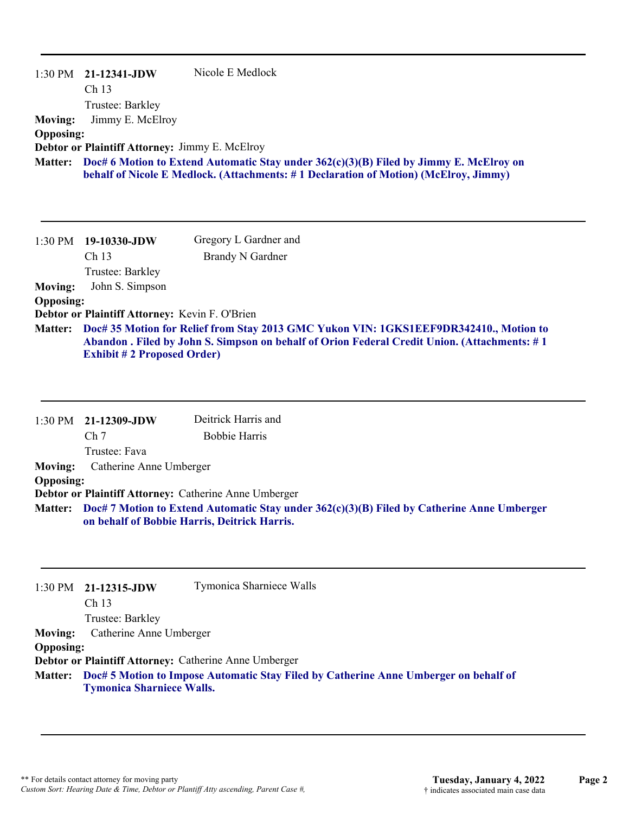| 1:30 PM          | 21-12341-JDW                                          | Nicole E Medlock                                                                                                                                                                 |
|------------------|-------------------------------------------------------|----------------------------------------------------------------------------------------------------------------------------------------------------------------------------------|
|                  | Ch <sub>13</sub>                                      |                                                                                                                                                                                  |
|                  | Trustee: Barkley                                      |                                                                                                                                                                                  |
| <b>Moving:</b>   | Jimmy E. McElroy                                      |                                                                                                                                                                                  |
| <b>Opposing:</b> |                                                       |                                                                                                                                                                                  |
|                  | <b>Debtor or Plaintiff Attorney: Jimmy E. McElroy</b> |                                                                                                                                                                                  |
| <b>Matter:</b>   |                                                       | Doc# 6 Motion to Extend Automatic Stay under $362(c)(3)(B)$ Filed by Jimmy E. McElroy on<br>behalf of Nicole E Medlock. (Attachments: #1 Declaration of Motion) (McElroy, Jimmy) |
|                  |                                                       |                                                                                                                                                                                  |

## **Moving:** John S. Simpson **Opposing:**

**Debtor or Plaintiff Attorney:** Kevin F. O'Brien

**Doc# 35 Motion for Relief from Stay 2013 GMC Yukon VIN: 1GKS1EEF9DR342410., Motion to Matter: Abandon . Filed by John S. Simpson on behalf of Orion Federal Credit Union. (Attachments: # 1 Exhibit # 2 Proposed Order)**

|                  | $1:30 \text{ PM}$ 21-12309-JDW                                                                                                                     | Deitrick Harris and                                   |
|------------------|----------------------------------------------------------------------------------------------------------------------------------------------------|-------------------------------------------------------|
|                  | Ch <sub>7</sub>                                                                                                                                    | <b>Bobbie Harris</b>                                  |
|                  | Trustee: Fava                                                                                                                                      |                                                       |
| <b>Moving:</b>   | Catherine Anne Umberger                                                                                                                            |                                                       |
| <b>Opposing:</b> |                                                                                                                                                    |                                                       |
|                  |                                                                                                                                                    | Debtor or Plaintiff Attorney: Catherine Anne Umberger |
|                  | Matter: Doc# 7 Motion to Extend Automatic Stay under 362(c)(3)(B) Filed by Catherine Anne Umberger<br>on behalf of Bobbie Harris, Deitrick Harris. |                                                       |

|                  | $1:30 \text{ PM}$ 21-12315-JDW   | Tymonica Sharniece Walls                                                             |
|------------------|----------------------------------|--------------------------------------------------------------------------------------|
|                  | Ch <sub>13</sub>                 |                                                                                      |
|                  | Trustee: Barkley                 |                                                                                      |
| <b>Moving:</b>   | Catherine Anne Umberger          |                                                                                      |
| <b>Opposing:</b> |                                  |                                                                                      |
|                  |                                  | Debtor or Plaintiff Attorney: Catherine Anne Umberger                                |
| <b>Matter:</b>   | <b>Tymonica Sharniece Walls.</b> | Doc# 5 Motion to Impose Automatic Stay Filed by Catherine Anne Umberger on behalf of |